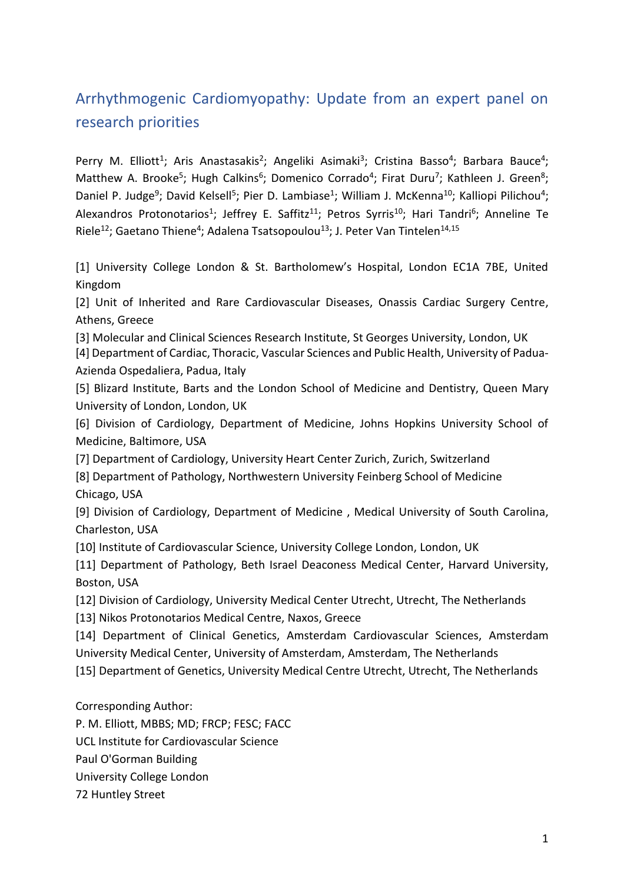# Arrhythmogenic Cardiomyopathy: Update from an expert panel on research priorities

Perry M. Elliott<sup>1</sup>; Aris Anastasakis<sup>2</sup>; Angeliki Asimaki<sup>3</sup>; Cristina Basso<sup>4</sup>; Barbara Bauce<sup>4</sup>; Matthew A. Brooke<sup>5</sup>; Hugh Calkins<sup>6</sup>; Domenico Corrado<sup>4</sup>; Firat Duru<sup>7</sup>; Kathleen J. Green<sup>8</sup>; Daniel P. Judge<sup>9</sup>; David Kelsell<sup>5</sup>; Pier D. Lambiase<sup>1</sup>; William J. McKenna<sup>10</sup>; Kalliopi Pilichou<sup>4</sup>; Alexandros Protonotarios<sup>1</sup>; Jeffrey E. Saffitz<sup>11</sup>; Petros Syrris<sup>10</sup>; Hari Tandri<sup>6</sup>; Anneline Te Riele<sup>12</sup>; Gaetano Thiene<sup>4</sup>; Adalena Tsatsopoulou<sup>13</sup>; J. Peter Van Tintelen<sup>14,15</sup>

[1] University College London & St. Bartholomew's Hospital, London EC1A 7BE, United Kingdom

[2] Unit of Inherited and Rare Cardiovascular Diseases, Onassis Cardiac Surgery Centre, Athens, Greece

[3] Molecular and Clinical Sciences Research Institute, St Georges University, London, UK

[4] Department of Cardiac, Thoracic, Vascular Sciences and Public Health, University of Padua-Azienda Ospedaliera, Padua, Italy

[5] Blizard Institute, Barts and the London School of Medicine and Dentistry, Queen Mary University of London, London, UK

[6] Division of Cardiology, Department of Medicine, Johns Hopkins University School of Medicine, Baltimore, USA

[7] Department of Cardiology, University Heart Center Zurich, Zurich, Switzerland

[8] Department of Pathology, Northwestern University Feinberg School of Medicine Chicago, USA

[9] Division of Cardiology, Department of Medicine , Medical University of South Carolina, Charleston, USA

[10] Institute of Cardiovascular Science, University College London, London, UK

[11] Department of Pathology, Beth Israel Deaconess Medical Center, Harvard University, Boston, USA

[12] Division of Cardiology, University Medical Center Utrecht, Utrecht, The Netherlands

[13] Nikos Protonotarios Medical Centre, Naxos, Greece

[14] Department of Clinical Genetics, Amsterdam Cardiovascular Sciences, Amsterdam University Medical Center, University of Amsterdam, Amsterdam, The Netherlands [15] Department of Genetics, University Medical Centre Utrecht, Utrecht, The Netherlands

Corresponding Author:

P. M. Elliott, MBBS; MD; FRCP; FESC; FACC

UCL Institute for Cardiovascular Science

Paul O'Gorman Building

University College London

72 Huntley Street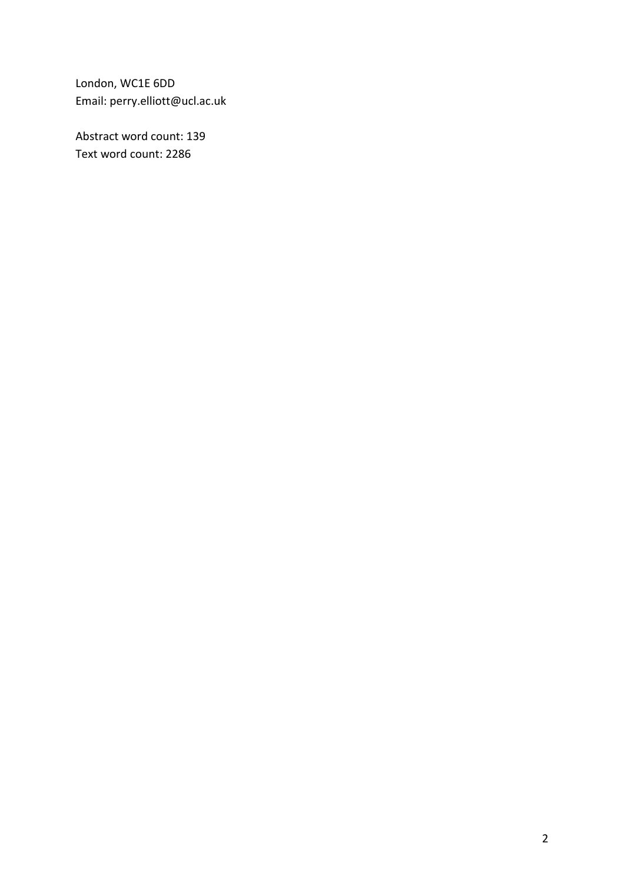London, WC1E 6DD Email: perry.elliott@ucl.ac.uk

Abstract word count: 139 Text word count: 2286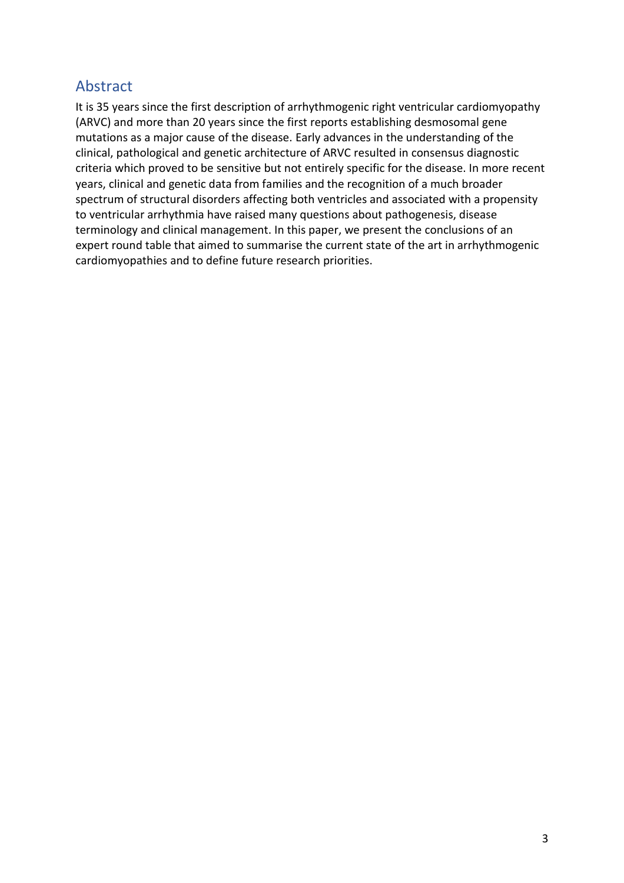## Abstract

It is 35 years since the first description of arrhythmogenic right ventricular cardiomyopathy (ARVC) and more than 20 years since the first reports establishing desmosomal gene mutations as a major cause of the disease. Early advances in the understanding of the clinical, pathological and genetic architecture of ARVC resulted in consensus diagnostic criteria which proved to be sensitive but not entirely specific for the disease. In more recent years, clinical and genetic data from families and the recognition of a much broader spectrum of structural disorders affecting both ventricles and associated with a propensity to ventricular arrhythmia have raised many questions about pathogenesis, disease terminology and clinical management. In this paper, we present the conclusions of an expert round table that aimed to summarise the current state of the art in arrhythmogenic cardiomyopathies and to define future research priorities.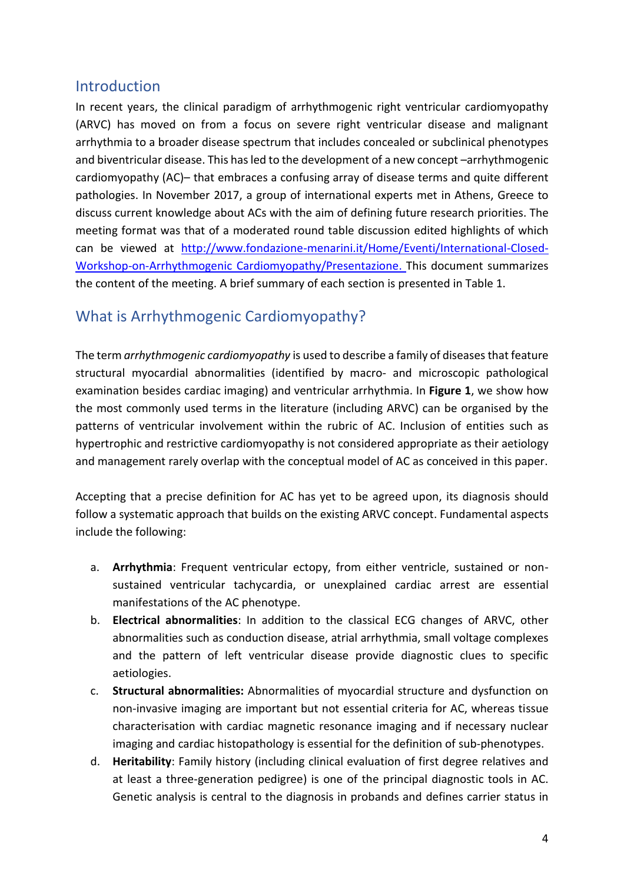### Introduction

In recent years, the clinical paradigm of arrhythmogenic right ventricular cardiomyopathy (ARVC) has moved on from a focus on severe right ventricular disease and malignant arrhythmia to a broader disease spectrum that includes concealed or subclinical phenotypes and biventricular disease. This has led to the development of a new concept –arrhythmogenic cardiomyopathy (AC)– that embraces a confusing array of disease terms and quite different pathologies. In November 2017, a group of international experts met in Athens, Greece to discuss current knowledge about ACs with the aim of defining future research priorities. The meeting format was that of a moderated round table discussion edited highlights of which can be viewed at [http://www.fondazione-menarini.it/Home/Eventi/International-Closed-](http://www.fondazione-menarini.it/Home/Eventi/International-Closed-Workshop-on-Arrhythmogenic)[Workshop-on-Arrhythmogenic](http://www.fondazione-menarini.it/Home/Eventi/International-Closed-Workshop-on-Arrhythmogenic) Cardiomyopathy/Presentazione. This document summarizes the content of the meeting. A brief summary of each section is presented in Table 1.

## What is Arrhythmogenic Cardiomyopathy?

The term *arrhythmogenic cardiomyopathy* is used to describe a family of diseases that feature structural myocardial abnormalities (identified by macro- and microscopic pathological examination besides cardiac imaging) and ventricular arrhythmia. In **Figure 1**, we show how the most commonly used terms in the literature (including ARVC) can be organised by the patterns of ventricular involvement within the rubric of AC. Inclusion of entities such as hypertrophic and restrictive cardiomyopathy is not considered appropriate as their aetiology and management rarely overlap with the conceptual model of AC as conceived in this paper.

Accepting that a precise definition for AC has yet to be agreed upon, its diagnosis should follow a systematic approach that builds on the existing ARVC concept. Fundamental aspects include the following:

- a. **Arrhythmia**: Frequent ventricular ectopy, from either ventricle, sustained or nonsustained ventricular tachycardia, or unexplained cardiac arrest are essential manifestations of the AC phenotype.
- b. **Electrical abnormalities**: In addition to the classical ECG changes of ARVC, other abnormalities such as conduction disease, atrial arrhythmia, small voltage complexes and the pattern of left ventricular disease provide diagnostic clues to specific aetiologies.
- c. **Structural abnormalities:** Abnormalities of myocardial structure and dysfunction on non-invasive imaging are important but not essential criteria for AC, whereas tissue characterisation with cardiac magnetic resonance imaging and if necessary nuclear imaging and cardiac histopathology is essential for the definition of sub-phenotypes.
- d. **Heritability**: Family history (including clinical evaluation of first degree relatives and at least a three-generation pedigree) is one of the principal diagnostic tools in AC. Genetic analysis is central to the diagnosis in probands and defines carrier status in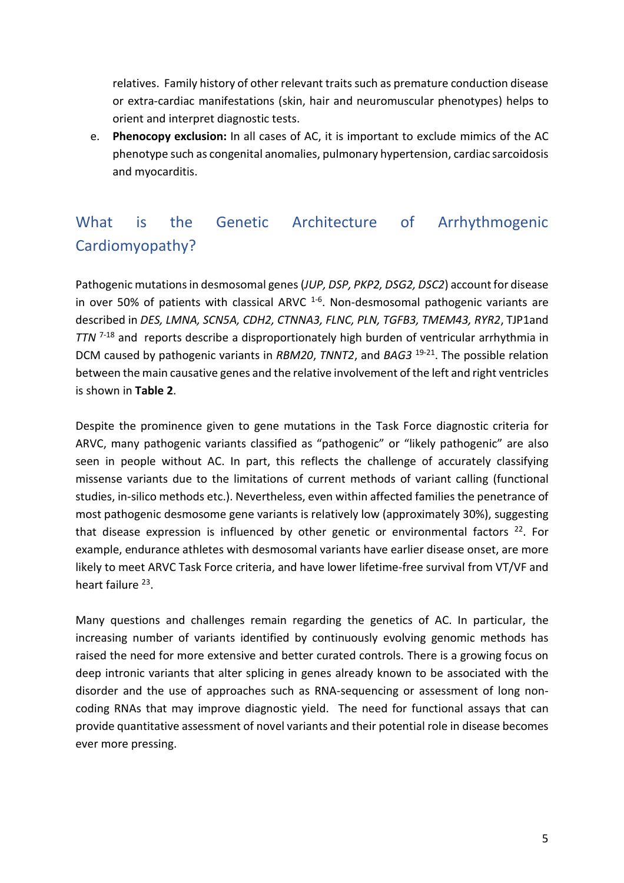relatives. Family history of other relevant traits such as premature conduction disease or extra-cardiac manifestations (skin, hair and neuromuscular phenotypes) helps to orient and interpret diagnostic tests.

e. **Phenocopy exclusion:** In all cases of AC, it is important to exclude mimics of the AC phenotype such as congenital anomalies, pulmonary hypertension, cardiac sarcoidosis and myocarditis.

# What is the Genetic Architecture of Arrhythmogenic Cardiomyopathy?

Pathogenic mutations in desmosomal genes(*JUP, DSP, PKP2, DSG2, DSC2*) account for disease in over 50% of patients with classical ARVC <sup>1-6</sup>. Non-desmosomal pathogenic variants are described in *DES, LMNA, SCN5A, CDH2, CTNNA3, FLNC, PLN, TGFB3, TMEM43, RYR2*, TJP1and *TTN* 7-18 and reports describe a disproportionately high burden of ventricular arrhythmia in DCM caused by pathogenic variants in *RBM20*, *TNNT2*, and *BAG3* 19-21 . The possible relation between the main causative genes and the relative involvement of the left and right ventricles is shown in **Table 2**.

Despite the prominence given to gene mutations in the Task Force diagnostic criteria for ARVC, many pathogenic variants classified as "pathogenic" or "likely pathogenic" are also seen in people without AC. In part, this reflects the challenge of accurately classifying missense variants due to the limitations of current methods of variant calling (functional studies, in-silico methods etc.). Nevertheless, even within affected families the penetrance of most pathogenic desmosome gene variants is relatively low (approximately 30%), suggesting that disease expression is influenced by other genetic or environmental factors <sup>22</sup>. For example, endurance athletes with desmosomal variants have earlier disease onset, are more likely to meet ARVC Task Force criteria, and have lower lifetime-free survival from VT/VF and heart failure <sup>23</sup>.

Many questions and challenges remain regarding the genetics of AC. In particular, the increasing number of variants identified by continuously evolving genomic methods has raised the need for more extensive and better curated controls. There is a growing focus on deep intronic variants that alter splicing in genes already known to be associated with the disorder and the use of approaches such as RNA-sequencing or assessment of long noncoding RNAs that may improve diagnostic yield. The need for functional assays that can provide quantitative assessment of novel variants and their potential role in disease becomes ever more pressing.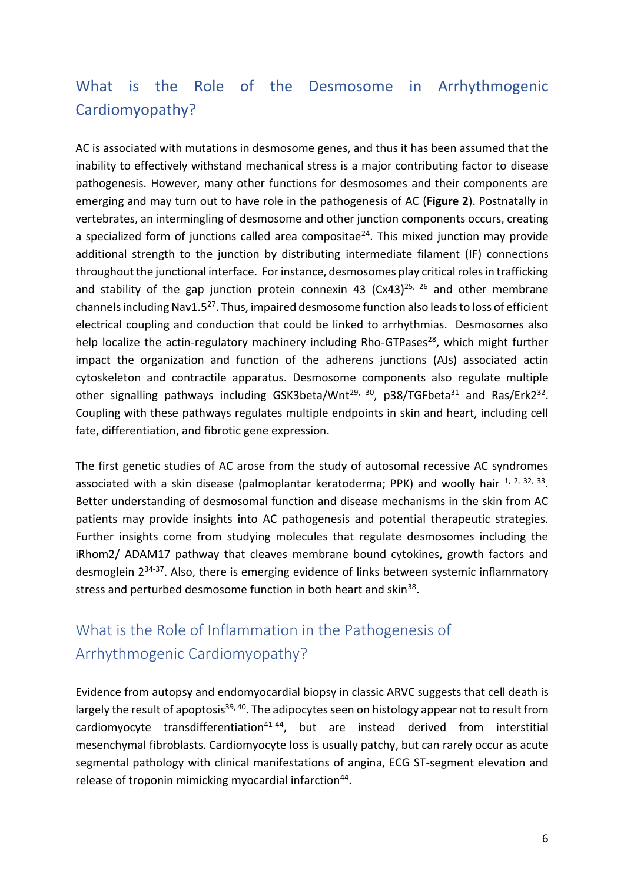# What is the Role of the Desmosome in Arrhythmogenic Cardiomyopathy?

AC is associated with mutations in desmosome genes, and thus it has been assumed that the inability to effectively withstand mechanical stress is a major contributing factor to disease pathogenesis. However, many other functions for desmosomes and their components are emerging and may turn out to have role in the pathogenesis of AC (**Figure 2**). Postnatally in vertebrates, an intermingling of desmosome and other junction components occurs, creating a specialized form of junctions called area compositae $24$ . This mixed junction may provide additional strength to the junction by distributing intermediate filament (IF) connections throughout the junctional interface. For instance, desmosomes play critical roles in trafficking and stability of the gap junction protein connexin 43 (Cx43)<sup>25, 26</sup> and other membrane channels including Nav1.5<sup>27</sup>. Thus, impaired desmosome function also leads to loss of efficient electrical coupling and conduction that could be linked to arrhythmias. Desmosomes also help localize the actin-regulatory machinery including Rho-GTPases<sup>28</sup>, which might further impact the organization and function of the adherens junctions (AJs) associated actin cytoskeleton and contractile apparatus. Desmosome components also regulate multiple other signalling pathways including GSK3beta/Wnt<sup>29, 30</sup>, p38/TGFbeta<sup>31</sup> and Ras/Erk2<sup>32</sup>. Coupling with these pathways regulates multiple endpoints in skin and heart, including cell fate, differentiation, and fibrotic gene expression.

The first genetic studies of AC arose from the study of autosomal recessive AC syndromes associated with a skin disease (palmoplantar keratoderma; PPK) and woolly hair <sup>1, 2, 32, 33</sup>. Better understanding of desmosomal function and disease mechanisms in the skin from AC patients may provide insights into AC pathogenesis and potential therapeutic strategies. Further insights come from studying molecules that regulate desmosomes including the iRhom2/ ADAM17 pathway that cleaves membrane bound cytokines, growth factors and desmoglein 234-37. Also, there is emerging evidence of links between systemic inflammatory stress and perturbed desmosome function in both heart and skin<sup>38</sup>.

# What is the Role of Inflammation in the Pathogenesis of Arrhythmogenic Cardiomyopathy?

Evidence from autopsy and endomyocardial biopsy in classic ARVC suggests that cell death is largely the result of apoptosis<sup>39, 40</sup>. The adipocytes seen on histology appear not to result from cardiomyocyte transdifferentiation<sup>41-44</sup>, but are instead derived from interstitial mesenchymal fibroblasts. Cardiomyocyte loss is usually patchy, but can rarely occur as acute segmental pathology with clinical manifestations of angina, ECG ST-segment elevation and release of troponin mimicking myocardial infarction<sup>44</sup>.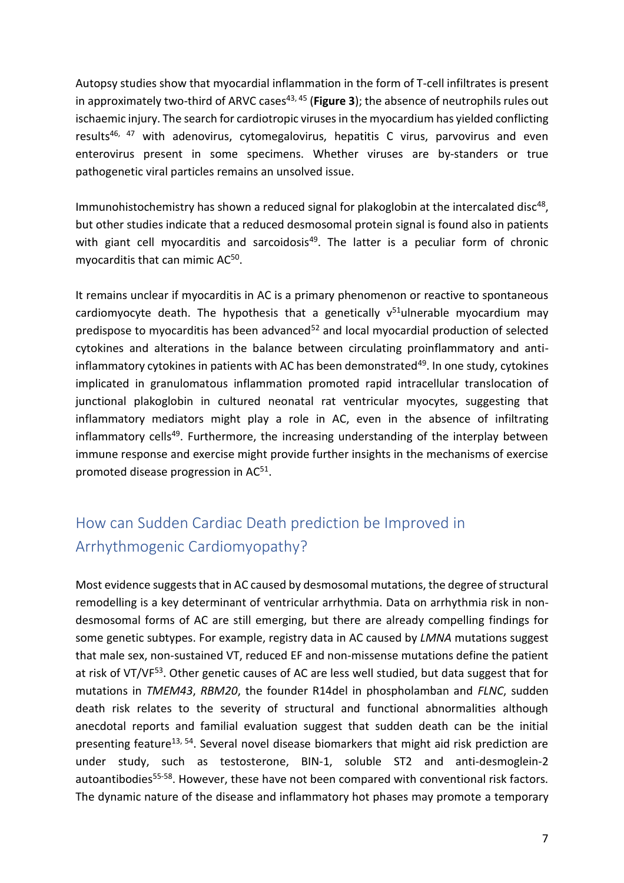Autopsy studies show that myocardial inflammation in the form of T-cell infiltrates is present in approximately two-third of ARVC cases<sup>43, 45</sup> (Figure 3); the absence of neutrophils rules out ischaemic injury. The search for cardiotropic viruses in the myocardium has yielded conflicting results<sup>46, 47</sup> with adenovirus, cytomegalovirus, hepatitis C virus, parvovirus and even enterovirus present in some specimens. Whether viruses are by-standers or true pathogenetic viral particles remains an unsolved issue.

Immunohistochemistry has shown a reduced signal for plakoglobin at the intercalated disc<sup>48</sup>, but other studies indicate that a reduced desmosomal protein signal is found also in patients with giant cell myocarditis and sarcoidosis<sup>49</sup>. The latter is a peculiar form of chronic myocarditis that can mimic AC<sup>50</sup>.

It remains unclear if myocarditis in AC is a primary phenomenon or reactive to spontaneous cardiomyocyte death. The hypothesis that a genetically  $v^{51}$ ulnerable myocardium may predispose to myocarditis has been advanced<sup>52</sup> and local myocardial production of selected cytokines and alterations in the balance between circulating proinflammatory and antiinflammatory cytokines in patients with AC has been demonstrated<sup>49</sup>. In one study, cytokines implicated in granulomatous inflammation promoted rapid intracellular translocation of junctional plakoglobin in cultured neonatal rat ventricular myocytes, suggesting that inflammatory mediators might play a role in AC, even in the absence of infiltrating inflammatory cells<sup>49</sup>. Furthermore, the increasing understanding of the interplay between immune response and exercise might provide further insights in the mechanisms of exercise promoted disease progression in AC<sup>51</sup>.

# How can Sudden Cardiac Death prediction be Improved in Arrhythmogenic Cardiomyopathy?

Most evidence suggests that in AC caused by desmosomal mutations, the degree of structural remodelling is a key determinant of ventricular arrhythmia. Data on arrhythmia risk in nondesmosomal forms of AC are still emerging, but there are already compelling findings for some genetic subtypes. For example, registry data in AC caused by *LMNA* mutations suggest that male sex, non-sustained VT, reduced EF and non-missense mutations define the patient at risk of VT/VF<sup>53</sup>. Other genetic causes of AC are less well studied, but data suggest that for mutations in *TMEM43*, *RBM20*, the founder R14del in phospholamban and *FLNC*, sudden death risk relates to the severity of structural and functional abnormalities although anecdotal reports and familial evaluation suggest that sudden death can be the initial presenting feature<sup>13, 54</sup>. Several novel disease biomarkers that might aid risk prediction are under study, such as testosterone, BIN-1, soluble ST2 and anti-desmoglein-2 autoantibodies<sup>55-58</sup>. However, these have not been compared with conventional risk factors. The dynamic nature of the disease and inflammatory hot phases may promote a temporary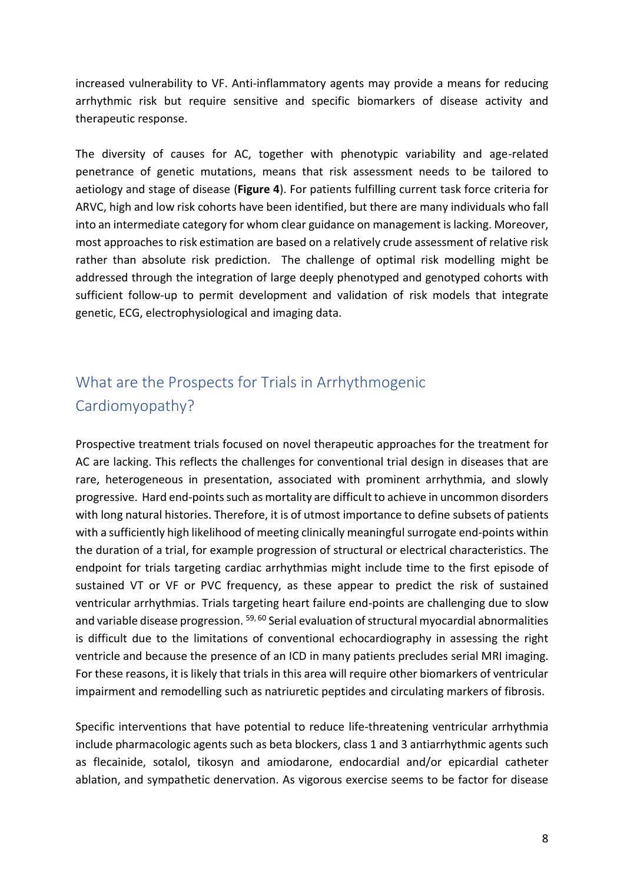increased vulnerability to VF. Anti-inflammatory agents may provide a means for reducing arrhythmic risk but require sensitive and specific biomarkers of disease activity and therapeutic response.

The diversity of causes for AC, together with phenotypic variability and age-related penetrance of genetic mutations, means that risk assessment needs to be tailored to aetiology and stage of disease (**Figure 4**). For patients fulfilling current task force criteria for ARVC, high and low risk cohorts have been identified, but there are many individuals who fall into an intermediate category for whom clear guidance on management is lacking. Moreover, most approaches to risk estimation are based on a relatively crude assessment of relative risk rather than absolute risk prediction. The challenge of optimal risk modelling might be addressed through the integration of large deeply phenotyped and genotyped cohorts with sufficient follow-up to permit development and validation of risk models that integrate genetic, ECG, electrophysiological and imaging data.

# What are the Prospects for Trials in Arrhythmogenic Cardiomyopathy?

Prospective treatment trials focused on novel therapeutic approaches for the treatment for AC are lacking. This reflects the challenges for conventional trial design in diseases that are rare, heterogeneous in presentation, associated with prominent arrhythmia, and slowly progressive. Hard end-points such as mortality are difficult to achieve in uncommon disorders with long natural histories. Therefore, it is of utmost importance to define subsets of patients with a sufficiently high likelihood of meeting clinically meaningful surrogate end-points within the duration of a trial, for example progression of structural or electrical characteristics. The endpoint for trials targeting cardiac arrhythmias might include time to the first episode of sustained VT or VF or PVC frequency, as these appear to predict the risk of sustained ventricular arrhythmias. Trials targeting heart failure end-points are challenging due to slow and variable disease progression. <sup>59, 60</sup> Serial evaluation of structural myocardial abnormalities is difficult due to the limitations of conventional echocardiography in assessing the right ventricle and because the presence of an ICD in many patients precludes serial MRI imaging. For these reasons, it is likely that trials in this area will require other biomarkers of ventricular impairment and remodelling such as natriuretic peptides and circulating markers of fibrosis.

Specific interventions that have potential to reduce life-threatening ventricular arrhythmia include pharmacologic agents such as beta blockers, class 1 and 3 antiarrhythmic agents such as flecainide, sotalol, tikosyn and amiodarone, endocardial and/or epicardial catheter ablation, and sympathetic denervation. As vigorous exercise seems to be factor for disease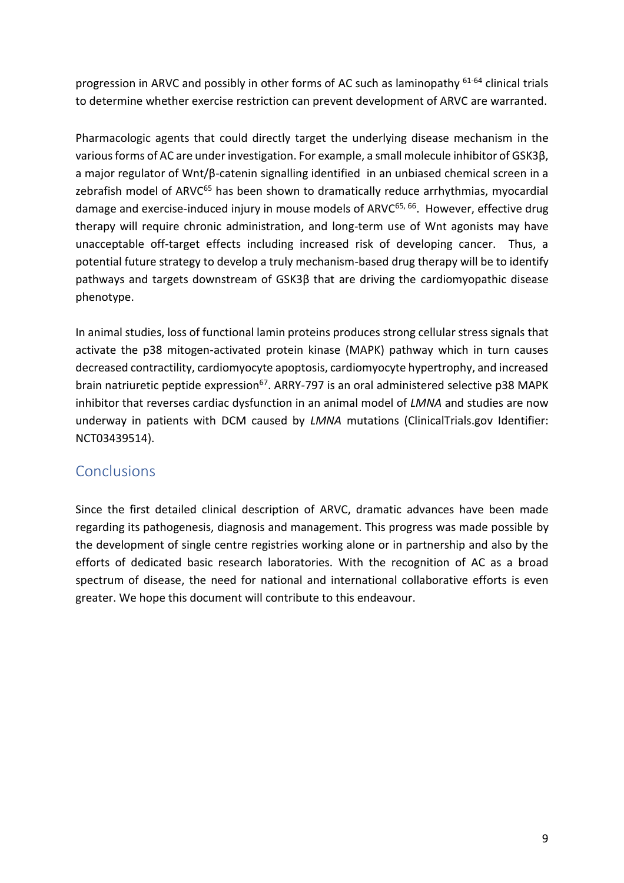progression in ARVC and possibly in other forms of AC such as laminopathy <sup>61-64</sup> clinical trials to determine whether exercise restriction can prevent development of ARVC are warranted.

Pharmacologic agents that could directly target the underlying disease mechanism in the various forms of AC are under investigation. For example, a small molecule inhibitor of GSK3β, a major regulator of Wnt/β-catenin signalling identified in an unbiased chemical screen in a zebrafish model of ARVC<sup>65</sup> has been shown to dramatically reduce arrhythmias, myocardial damage and exercise-induced injury in mouse models of ARVC<sup>65, 66</sup>. However, effective drug therapy will require chronic administration, and long-term use of Wnt agonists may have unacceptable off-target effects including increased risk of developing cancer. Thus, a potential future strategy to develop a truly mechanism-based drug therapy will be to identify pathways and targets downstream of GSK3β that are driving the cardiomyopathic disease phenotype.

In animal studies, loss of functional lamin proteins produces strong cellular stress signals that activate the p38 mitogen-activated protein kinase (MAPK) pathway which in turn causes decreased contractility, cardiomyocyte apoptosis, cardiomyocyte hypertrophy, and increased brain natriuretic peptide expression<sup>67</sup>. ARRY-797 is an oral administered selective p38 MAPK inhibitor that reverses cardiac dysfunction in an animal model of *LMNA* and studies are now underway in patients with DCM caused by *LMNA* mutations (ClinicalTrials.gov Identifier: NCT03439514).

## **Conclusions**

Since the first detailed clinical description of ARVC, dramatic advances have been made regarding its pathogenesis, diagnosis and management. This progress was made possible by the development of single centre registries working alone or in partnership and also by the efforts of dedicated basic research laboratories. With the recognition of AC as a broad spectrum of disease, the need for national and international collaborative efforts is even greater. We hope this document will contribute to this endeavour.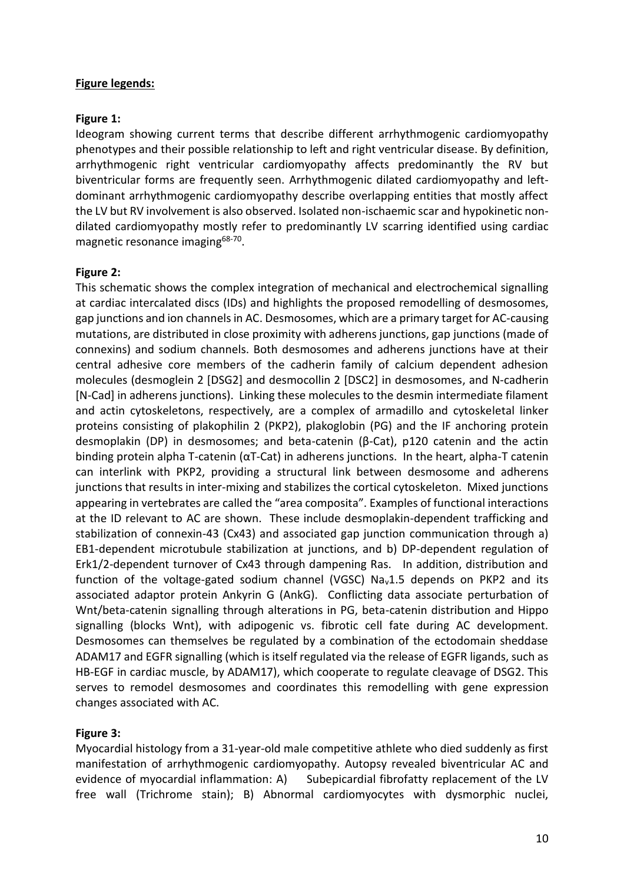### **Figure legends:**

### **Figure 1:**

Ideogram showing current terms that describe different arrhythmogenic cardiomyopathy phenotypes and their possible relationship to left and right ventricular disease. By definition, arrhythmogenic right ventricular cardiomyopathy affects predominantly the RV but biventricular forms are frequently seen. Arrhythmogenic dilated cardiomyopathy and leftdominant arrhythmogenic cardiomyopathy describe overlapping entities that mostly affect the LV but RV involvement is also observed. Isolated non-ischaemic scar and hypokinetic nondilated cardiomyopathy mostly refer to predominantly LV scarring identified using cardiac magnetic resonance imaging<sup>68-70</sup>.

### **Figure 2:**

This schematic shows the complex integration of mechanical and electrochemical signalling at cardiac intercalated discs (IDs) and highlights the proposed remodelling of desmosomes, gap junctions and ion channels in AC. Desmosomes, which are a primary target for AC-causing mutations, are distributed in close proximity with adherens junctions, gap junctions (made of connexins) and sodium channels. Both desmosomes and adherens junctions have at their central adhesive core members of the cadherin family of calcium dependent adhesion molecules (desmoglein 2 [DSG2] and desmocollin 2 [DSC2] in desmosomes, and N-cadherin [N-Cad] in adherens junctions). Linking these molecules to the desmin intermediate filament and actin cytoskeletons, respectively, are a complex of armadillo and cytoskeletal linker proteins consisting of plakophilin 2 (PKP2), plakoglobin (PG) and the IF anchoring protein desmoplakin (DP) in desmosomes; and beta-catenin (β-Cat), p120 catenin and the actin binding protein alpha T-catenin (αT-Cat) in adherens junctions. In the heart, alpha-T catenin can interlink with PKP2, providing a structural link between desmosome and adherens junctions that results in inter-mixing and stabilizes the cortical cytoskeleton. Mixed junctions appearing in vertebrates are called the "area composita". Examples of functional interactions at the ID relevant to AC are shown. These include desmoplakin-dependent trafficking and stabilization of connexin-43 (Cx43) and associated gap junction communication through a) EB1-dependent microtubule stabilization at junctions, and b) DP-dependent regulation of Erk1/2-dependent turnover of Cx43 through dampening Ras. In addition, distribution and function of the voltage-gated sodium channel (VGSC) Na<sub>v</sub>1.5 depends on PKP2 and its associated adaptor protein Ankyrin G (AnkG). Conflicting data associate perturbation of Wnt/beta-catenin signalling through alterations in PG, beta-catenin distribution and Hippo signalling (blocks Wnt), with adipogenic vs. fibrotic cell fate during AC development. Desmosomes can themselves be regulated by a combination of the ectodomain sheddase ADAM17 and EGFR signalling (which is itself regulated via the release of EGFR ligands, such as HB-EGF in cardiac muscle, by ADAM17), which cooperate to regulate cleavage of DSG2. This serves to remodel desmosomes and coordinates this remodelling with gene expression changes associated with AC.

### **Figure 3:**

Myocardial histology from a 31-year-old male competitive athlete who died suddenly as first manifestation of arrhythmogenic cardiomyopathy. Autopsy revealed biventricular AC and evidence of myocardial inflammation: A) Subepicardial fibrofatty replacement of the LV free wall (Trichrome stain); B) Abnormal cardiomyocytes with dysmorphic nuclei,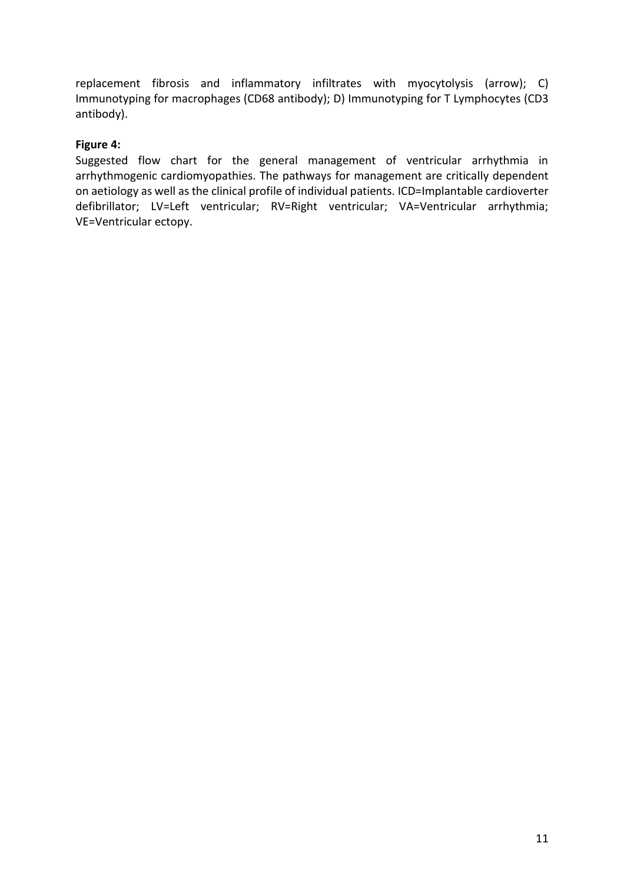replacement fibrosis and inflammatory infiltrates with myocytolysis (arrow); C) Immunotyping for macrophages (CD68 antibody); D) Immunotyping for T Lymphocytes (CD3 antibody).

### **Figure 4:**

Suggested flow chart for the general management of ventricular arrhythmia in arrhythmogenic cardiomyopathies. The pathways for management are critically dependent on aetiology as well as the clinical profile of individual patients. ICD=Implantable cardioverter defibrillator; LV=Left ventricular; RV=Right ventricular; VA=Ventricular arrhythmia; VE=Ventricular ectopy.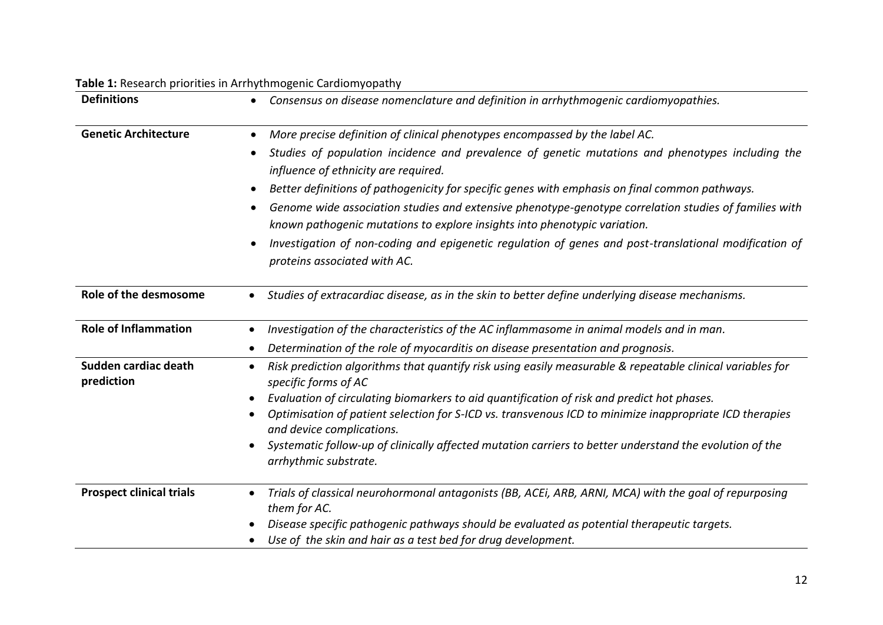| <b>Definitions</b>                 | Consensus on disease nomenclature and definition in arrhythmogenic cardiomyopathies.<br>More precise definition of clinical phenotypes encompassed by the label AC.<br>Studies of population incidence and prevalence of genetic mutations and phenotypes including the<br>influence of ethnicity are required.<br>Better definitions of pathogenicity for specific genes with emphasis on final common pathways.<br>Genome wide association studies and extensive phenotype-genotype correlation studies of families with<br>known pathogenic mutations to explore insights into phenotypic variation.<br>Investigation of non-coding and epigenetic regulation of genes and post-translational modification of<br>proteins associated with AC. |  |  |  |  |
|------------------------------------|--------------------------------------------------------------------------------------------------------------------------------------------------------------------------------------------------------------------------------------------------------------------------------------------------------------------------------------------------------------------------------------------------------------------------------------------------------------------------------------------------------------------------------------------------------------------------------------------------------------------------------------------------------------------------------------------------------------------------------------------------|--|--|--|--|
| <b>Genetic Architecture</b>        |                                                                                                                                                                                                                                                                                                                                                                                                                                                                                                                                                                                                                                                                                                                                                  |  |  |  |  |
| Role of the desmosome              | Studies of extracardiac disease, as in the skin to better define underlying disease mechanisms.                                                                                                                                                                                                                                                                                                                                                                                                                                                                                                                                                                                                                                                  |  |  |  |  |
| <b>Role of Inflammation</b>        | Investigation of the characteristics of the AC inflammasome in animal models and in man.<br>Determination of the role of myocarditis on disease presentation and prognosis.                                                                                                                                                                                                                                                                                                                                                                                                                                                                                                                                                                      |  |  |  |  |
| Sudden cardiac death<br>prediction | Risk prediction algorithms that quantify risk using easily measurable & repeatable clinical variables for<br>specific forms of AC<br>Evaluation of circulating biomarkers to aid quantification of risk and predict hot phases.<br>Optimisation of patient selection for S-ICD vs. transvenous ICD to minimize inappropriate ICD therapies<br>and device complications.<br>Systematic follow-up of clinically affected mutation carriers to better understand the evolution of the<br>arrhythmic substrate.                                                                                                                                                                                                                                      |  |  |  |  |
| <b>Prospect clinical trials</b>    | Trials of classical neurohormonal antagonists (BB, ACEi, ARB, ARNI, MCA) with the goal of repurposing<br>them for AC.<br>Disease specific pathogenic pathways should be evaluated as potential therapeutic targets.<br>Use of the skin and hair as a test bed for drug development.                                                                                                                                                                                                                                                                                                                                                                                                                                                              |  |  |  |  |

### **Table 1:** Research priorities in Arrhythmogenic Cardiomyopathy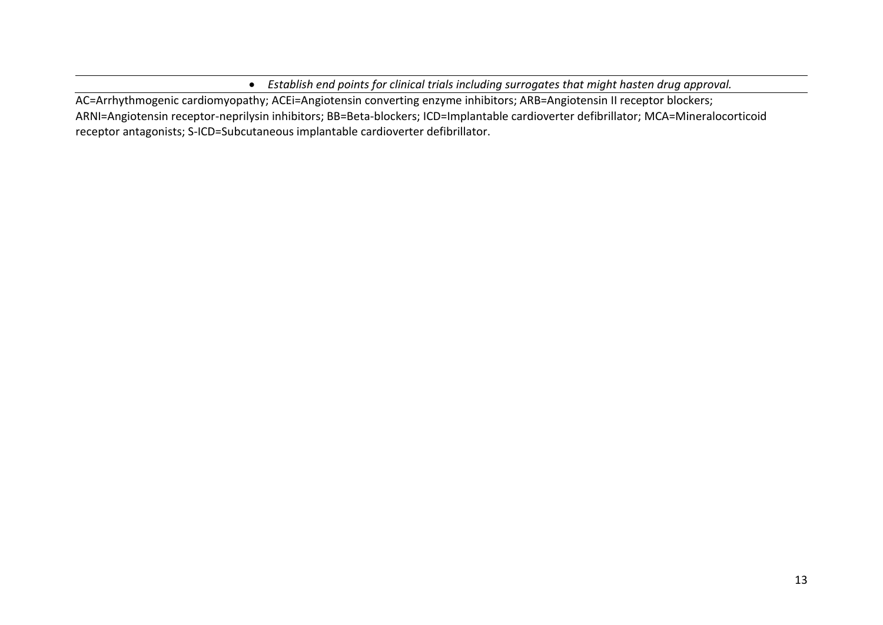*Establish end points for clinical trials including surrogates that might hasten drug approval.*

AC=Arrhythmogenic cardiomyopathy; ACEi=Angiotensin converting enzyme inhibitors; ARB=Angiotensin II receptor blockers; ARNI=Angiotensin receptor-neprilysin inhibitors; BB=Beta-blockers; ICD=Implantable cardioverter defibrillator; MCA=Mineralocorticoid receptor antagonists; S-ICD=Subcutaneous implantable cardioverter defibrillator.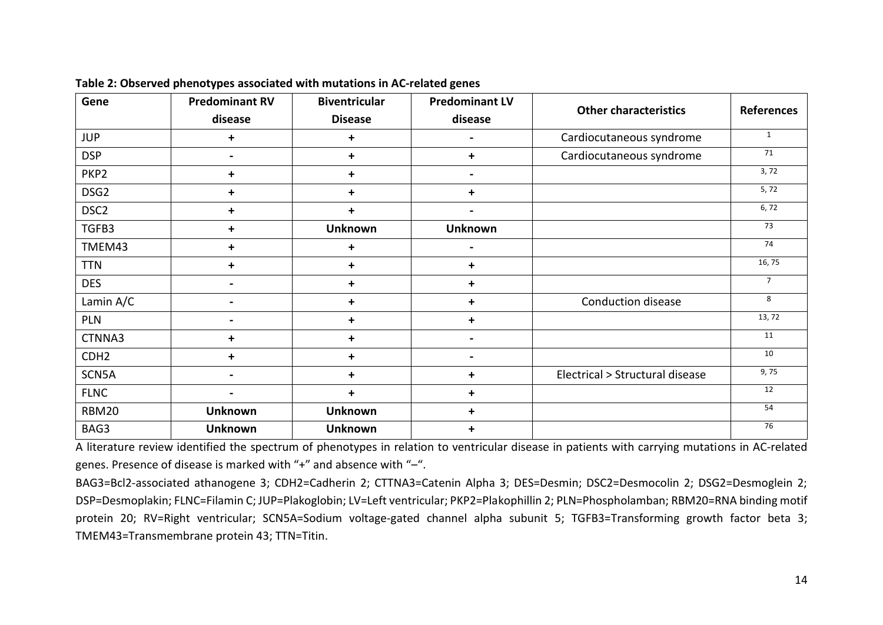| Gene             | <b>Predominant RV</b> | <b>Biventricular</b><br><b>Disease</b> | <b>Predominant LV</b><br>disease | <b>Other characteristics</b>    | <b>References</b> |
|------------------|-----------------------|----------------------------------------|----------------------------------|---------------------------------|-------------------|
|                  | disease               |                                        |                                  |                                 |                   |
| <b>JUP</b>       | +                     | +                                      | $\qquad \qquad \blacksquare$     | Cardiocutaneous syndrome        | $\mathbf{1}$      |
| <b>DSP</b>       | $\blacksquare$        | +                                      | $\ddot{}$                        | Cardiocutaneous syndrome        | 71                |
| PKP <sub>2</sub> | +                     | +                                      | $\blacksquare$                   |                                 | 3, 72             |
| DSG <sub>2</sub> | $\ddot{}$             | +                                      | $\ddot{}$                        |                                 | 5, 72             |
| DSC <sub>2</sub> | $\ddot{}$             | $\ddot{}$                              | $\blacksquare$                   |                                 | 6,72              |
| TGFB3            | $\ddot{}$             | <b>Unknown</b>                         | <b>Unknown</b>                   |                                 | 73                |
| TMEM43           | +                     | +                                      | $\blacksquare$                   |                                 | 74                |
| <b>TTN</b>       | +                     | +                                      | $\ddot{}$                        |                                 | 16, 75            |
| <b>DES</b>       |                       | $\ddot{}$                              | $\ddot{}$                        |                                 | $\overline{7}$    |
| Lamin A/C        |                       | +                                      | $\ddot{}$                        | Conduction disease              | 8                 |
| <b>PLN</b>       |                       | $\ddot{}$                              | $\ddot{}$                        |                                 | 13, 72            |
| CTNNA3           | ٠                     | +                                      | $\blacksquare$                   |                                 | 11                |
| CDH <sub>2</sub> | $\ddot{}$             | +                                      | $\blacksquare$                   |                                 | 10                |
| SCN5A            |                       | +                                      | $\ddot{}$                        | Electrical > Structural disease | 9,75              |
| <b>FLNC</b>      |                       | $\ddot{}$                              | $\ddot{}$                        |                                 | 12                |
| <b>RBM20</b>     | <b>Unknown</b>        | <b>Unknown</b>                         | $\ddot{}$                        |                                 | 54                |
| BAG3             | <b>Unknown</b>        | <b>Unknown</b>                         | $\ddot{}$                        |                                 | 76                |

**Table 2: Observed phenotypes associated with mutations in AC-related genes**

A literature review identified the spectrum of phenotypes in relation to ventricular disease in patients with carrying mutations in AC-related genes. Presence of disease is marked with "+" and absence with "–".

BAG3=Bcl2-associated athanogene 3; CDH2=Cadherin 2; CTTNA3=Catenin Alpha 3; DES=Desmin; DSC2=Desmocolin 2; DSG2=Desmoglein 2; DSP=Desmoplakin; FLNC=Filamin C; JUP=Plakoglobin; LV=Left ventricular; PKP2=Plakophillin 2; PLN=Phospholamban; RBM20=RNA binding motif protein 20; RV=Right ventricular; SCN5A=Sodium voltage-gated channel alpha subunit 5; TGFB3=Transforming growth factor beta 3; TMEM43=Transmembrane protein 43; TTN=Titin.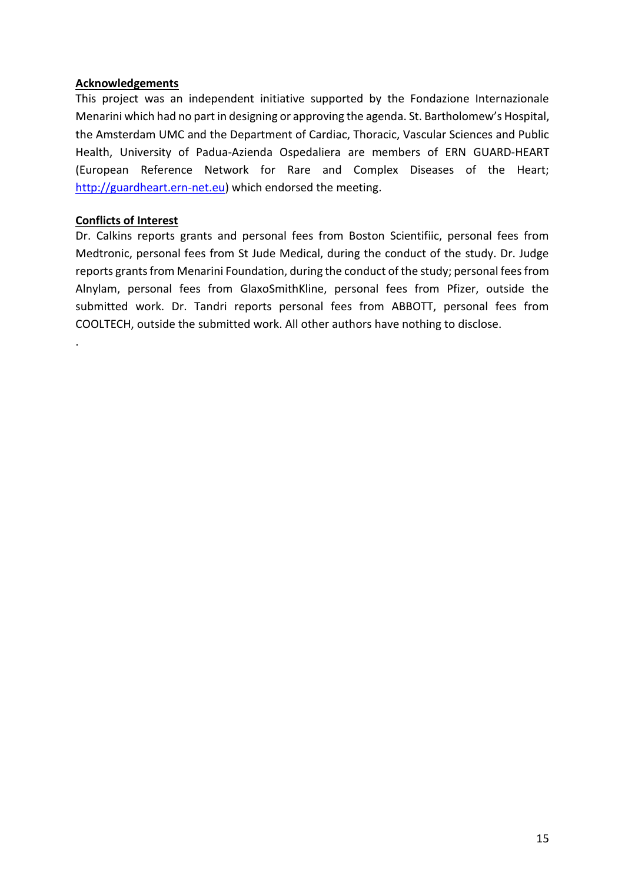### **Acknowledgements**

This project was an independent initiative supported by the Fondazione Internazionale Menarini which had no part in designing or approving the agenda. St. Bartholomew's Hospital, the Amsterdam UMC and the Department of Cardiac, Thoracic, Vascular Sciences and Public Health, University of Padua-Azienda Ospedaliera are members of ERN GUARD-HEART (European Reference Network for Rare and Complex Diseases of the Heart; [http://guardheart.ern-net.eu\)](http://guardheart.ern-net.eu/) which endorsed the meeting.

### **Conflicts of Interest**

.

Dr. Calkins reports grants and personal fees from Boston Scientifiic, personal fees from Medtronic, personal fees from St Jude Medical, during the conduct of the study. Dr. Judge reports grants from Menarini Foundation, during the conduct of the study; personal fees from Alnylam, personal fees from GlaxoSmithKline, personal fees from Pfizer, outside the submitted work. Dr. Tandri reports personal fees from ABBOTT, personal fees from COOLTECH, outside the submitted work. All other authors have nothing to disclose.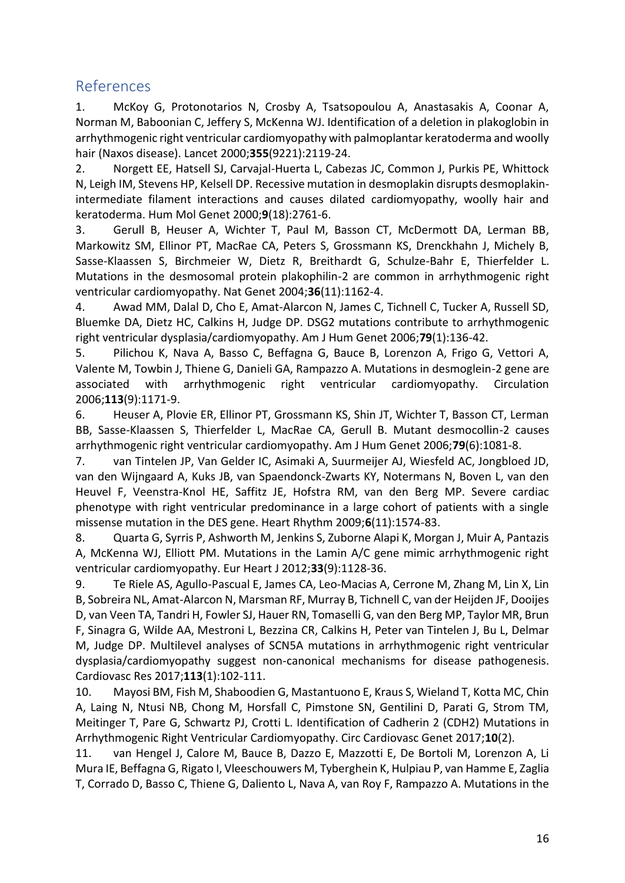## References

1. McKoy G, Protonotarios N, Crosby A, Tsatsopoulou A, Anastasakis A, Coonar A, Norman M, Baboonian C, Jeffery S, McKenna WJ. Identification of a deletion in plakoglobin in arrhythmogenic right ventricular cardiomyopathy with palmoplantar keratoderma and woolly hair (Naxos disease). Lancet 2000;**355**(9221):2119-24.

2. Norgett EE, Hatsell SJ, Carvajal-Huerta L, Cabezas JC, Common J, Purkis PE, Whittock N, Leigh IM, Stevens HP, Kelsell DP. Recessive mutation in desmoplakin disrupts desmoplakinintermediate filament interactions and causes dilated cardiomyopathy, woolly hair and keratoderma. Hum Mol Genet 2000;**9**(18):2761-6.

3. Gerull B, Heuser A, Wichter T, Paul M, Basson CT, McDermott DA, Lerman BB, Markowitz SM, Ellinor PT, MacRae CA, Peters S, Grossmann KS, Drenckhahn J, Michely B, Sasse-Klaassen S, Birchmeier W, Dietz R, Breithardt G, Schulze-Bahr E, Thierfelder L. Mutations in the desmosomal protein plakophilin-2 are common in arrhythmogenic right ventricular cardiomyopathy. Nat Genet 2004;**36**(11):1162-4.

4. Awad MM, Dalal D, Cho E, Amat-Alarcon N, James C, Tichnell C, Tucker A, Russell SD, Bluemke DA, Dietz HC, Calkins H, Judge DP. DSG2 mutations contribute to arrhythmogenic right ventricular dysplasia/cardiomyopathy. Am J Hum Genet 2006;**79**(1):136-42.

5. Pilichou K, Nava A, Basso C, Beffagna G, Bauce B, Lorenzon A, Frigo G, Vettori A, Valente M, Towbin J, Thiene G, Danieli GA, Rampazzo A. Mutations in desmoglein-2 gene are associated with arrhythmogenic right ventricular cardiomyopathy. Circulation 2006;**113**(9):1171-9.

6. Heuser A, Plovie ER, Ellinor PT, Grossmann KS, Shin JT, Wichter T, Basson CT, Lerman BB, Sasse-Klaassen S, Thierfelder L, MacRae CA, Gerull B. Mutant desmocollin-2 causes arrhythmogenic right ventricular cardiomyopathy. Am J Hum Genet 2006;**79**(6):1081-8.

7. van Tintelen JP, Van Gelder IC, Asimaki A, Suurmeijer AJ, Wiesfeld AC, Jongbloed JD, van den Wijngaard A, Kuks JB, van Spaendonck-Zwarts KY, Notermans N, Boven L, van den Heuvel F, Veenstra-Knol HE, Saffitz JE, Hofstra RM, van den Berg MP. Severe cardiac phenotype with right ventricular predominance in a large cohort of patients with a single missense mutation in the DES gene. Heart Rhythm 2009;**6**(11):1574-83.

8. Quarta G, Syrris P, Ashworth M, Jenkins S, Zuborne Alapi K, Morgan J, Muir A, Pantazis A, McKenna WJ, Elliott PM. Mutations in the Lamin A/C gene mimic arrhythmogenic right ventricular cardiomyopathy. Eur Heart J 2012;**33**(9):1128-36.

9. Te Riele AS, Agullo-Pascual E, James CA, Leo-Macias A, Cerrone M, Zhang M, Lin X, Lin B, Sobreira NL, Amat-Alarcon N, Marsman RF, Murray B, Tichnell C, van der Heijden JF, Dooijes D, van Veen TA, Tandri H, Fowler SJ, Hauer RN, Tomaselli G, van den Berg MP, Taylor MR, Brun F, Sinagra G, Wilde AA, Mestroni L, Bezzina CR, Calkins H, Peter van Tintelen J, Bu L, Delmar M, Judge DP. Multilevel analyses of SCN5A mutations in arrhythmogenic right ventricular dysplasia/cardiomyopathy suggest non-canonical mechanisms for disease pathogenesis. Cardiovasc Res 2017;**113**(1):102-111.

10. Mayosi BM, Fish M, Shaboodien G, Mastantuono E, Kraus S, Wieland T, Kotta MC, Chin A, Laing N, Ntusi NB, Chong M, Horsfall C, Pimstone SN, Gentilini D, Parati G, Strom TM, Meitinger T, Pare G, Schwartz PJ, Crotti L. Identification of Cadherin 2 (CDH2) Mutations in Arrhythmogenic Right Ventricular Cardiomyopathy. Circ Cardiovasc Genet 2017;**10**(2).

11. van Hengel J, Calore M, Bauce B, Dazzo E, Mazzotti E, De Bortoli M, Lorenzon A, Li Mura IE, Beffagna G, Rigato I, Vleeschouwers M, Tyberghein K, Hulpiau P, van Hamme E, Zaglia T, Corrado D, Basso C, Thiene G, Daliento L, Nava A, van Roy F, Rampazzo A. Mutations in the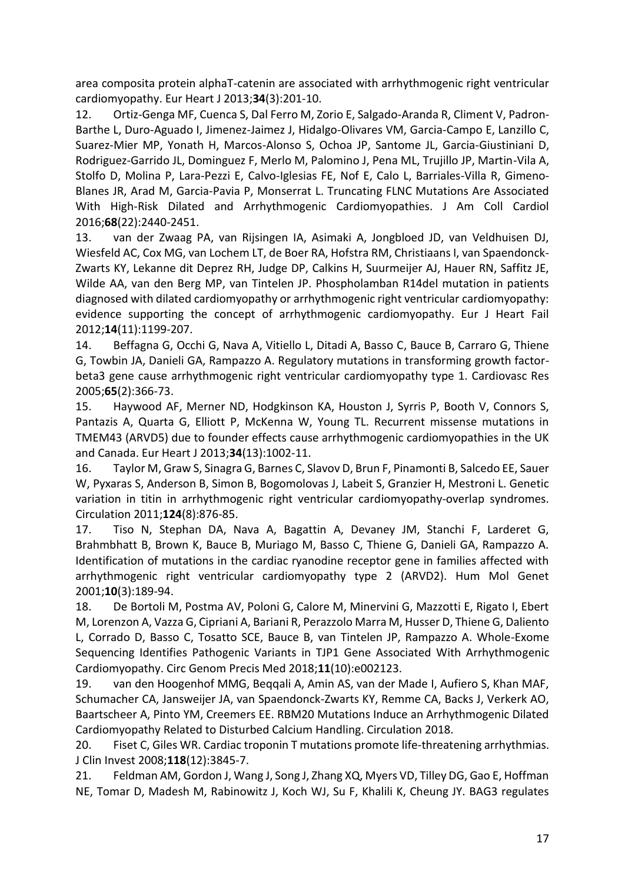area composita protein alphaT-catenin are associated with arrhythmogenic right ventricular cardiomyopathy. Eur Heart J 2013;**34**(3):201-10.

12. Ortiz-Genga MF, Cuenca S, Dal Ferro M, Zorio E, Salgado-Aranda R, Climent V, Padron-Barthe L, Duro-Aguado I, Jimenez-Jaimez J, Hidalgo-Olivares VM, Garcia-Campo E, Lanzillo C, Suarez-Mier MP, Yonath H, Marcos-Alonso S, Ochoa JP, Santome JL, Garcia-Giustiniani D, Rodriguez-Garrido JL, Dominguez F, Merlo M, Palomino J, Pena ML, Trujillo JP, Martin-Vila A, Stolfo D, Molina P, Lara-Pezzi E, Calvo-Iglesias FE, Nof E, Calo L, Barriales-Villa R, Gimeno-Blanes JR, Arad M, Garcia-Pavia P, Monserrat L. Truncating FLNC Mutations Are Associated With High-Risk Dilated and Arrhythmogenic Cardiomyopathies. J Am Coll Cardiol 2016;**68**(22):2440-2451.

13. van der Zwaag PA, van Rijsingen IA, Asimaki A, Jongbloed JD, van Veldhuisen DJ, Wiesfeld AC, Cox MG, van Lochem LT, de Boer RA, Hofstra RM, Christiaans I, van Spaendonck-Zwarts KY, Lekanne dit Deprez RH, Judge DP, Calkins H, Suurmeijer AJ, Hauer RN, Saffitz JE, Wilde AA, van den Berg MP, van Tintelen JP. Phospholamban R14del mutation in patients diagnosed with dilated cardiomyopathy or arrhythmogenic right ventricular cardiomyopathy: evidence supporting the concept of arrhythmogenic cardiomyopathy. Eur J Heart Fail 2012;**14**(11):1199-207.

14. Beffagna G, Occhi G, Nava A, Vitiello L, Ditadi A, Basso C, Bauce B, Carraro G, Thiene G, Towbin JA, Danieli GA, Rampazzo A. Regulatory mutations in transforming growth factorbeta3 gene cause arrhythmogenic right ventricular cardiomyopathy type 1. Cardiovasc Res 2005;**65**(2):366-73.

15. Haywood AF, Merner ND, Hodgkinson KA, Houston J, Syrris P, Booth V, Connors S, Pantazis A, Quarta G, Elliott P, McKenna W, Young TL. Recurrent missense mutations in TMEM43 (ARVD5) due to founder effects cause arrhythmogenic cardiomyopathies in the UK and Canada. Eur Heart J 2013;**34**(13):1002-11.

16. Taylor M, Graw S, Sinagra G, Barnes C, Slavov D, Brun F, Pinamonti B, Salcedo EE, Sauer W, Pyxaras S, Anderson B, Simon B, Bogomolovas J, Labeit S, Granzier H, Mestroni L. Genetic variation in titin in arrhythmogenic right ventricular cardiomyopathy-overlap syndromes. Circulation 2011;**124**(8):876-85.

17. Tiso N, Stephan DA, Nava A, Bagattin A, Devaney JM, Stanchi F, Larderet G, Brahmbhatt B, Brown K, Bauce B, Muriago M, Basso C, Thiene G, Danieli GA, Rampazzo A. Identification of mutations in the cardiac ryanodine receptor gene in families affected with arrhythmogenic right ventricular cardiomyopathy type 2 (ARVD2). Hum Mol Genet 2001;**10**(3):189-94.

18. De Bortoli M, Postma AV, Poloni G, Calore M, Minervini G, Mazzotti E, Rigato I, Ebert M, Lorenzon A, Vazza G, Cipriani A, Bariani R, Perazzolo Marra M, Husser D, Thiene G, Daliento L, Corrado D, Basso C, Tosatto SCE, Bauce B, van Tintelen JP, Rampazzo A. Whole-Exome Sequencing Identifies Pathogenic Variants in TJP1 Gene Associated With Arrhythmogenic Cardiomyopathy. Circ Genom Precis Med 2018;**11**(10):e002123.

19. van den Hoogenhof MMG, Beqqali A, Amin AS, van der Made I, Aufiero S, Khan MAF, Schumacher CA, Jansweijer JA, van Spaendonck-Zwarts KY, Remme CA, Backs J, Verkerk AO, Baartscheer A, Pinto YM, Creemers EE. RBM20 Mutations Induce an Arrhythmogenic Dilated Cardiomyopathy Related to Disturbed Calcium Handling. Circulation 2018.

20. Fiset C, Giles WR. Cardiac troponin T mutations promote life-threatening arrhythmias. J Clin Invest 2008;**118**(12):3845-7.

21. Feldman AM, Gordon J, Wang J, Song J, Zhang XQ, Myers VD, Tilley DG, Gao E, Hoffman NE, Tomar D, Madesh M, Rabinowitz J, Koch WJ, Su F, Khalili K, Cheung JY. BAG3 regulates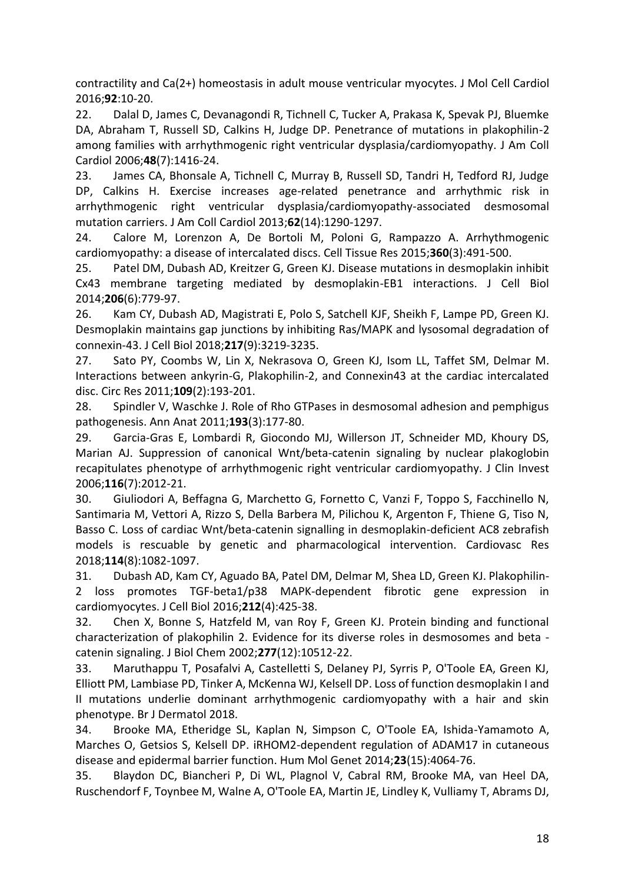contractility and Ca(2+) homeostasis in adult mouse ventricular myocytes. J Mol Cell Cardiol 2016;**92**:10-20.

22. Dalal D, James C, Devanagondi R, Tichnell C, Tucker A, Prakasa K, Spevak PJ, Bluemke DA, Abraham T, Russell SD, Calkins H, Judge DP. Penetrance of mutations in plakophilin-2 among families with arrhythmogenic right ventricular dysplasia/cardiomyopathy. J Am Coll Cardiol 2006;**48**(7):1416-24.

23. James CA, Bhonsale A, Tichnell C, Murray B, Russell SD, Tandri H, Tedford RJ, Judge DP, Calkins H. Exercise increases age-related penetrance and arrhythmic risk in arrhythmogenic right ventricular dysplasia/cardiomyopathy-associated desmosomal mutation carriers. J Am Coll Cardiol 2013;**62**(14):1290-1297.

24. Calore M, Lorenzon A, De Bortoli M, Poloni G, Rampazzo A. Arrhythmogenic cardiomyopathy: a disease of intercalated discs. Cell Tissue Res 2015;**360**(3):491-500.

25. Patel DM, Dubash AD, Kreitzer G, Green KJ. Disease mutations in desmoplakin inhibit Cx43 membrane targeting mediated by desmoplakin-EB1 interactions. J Cell Biol 2014;**206**(6):779-97.

26. Kam CY, Dubash AD, Magistrati E, Polo S, Satchell KJF, Sheikh F, Lampe PD, Green KJ. Desmoplakin maintains gap junctions by inhibiting Ras/MAPK and lysosomal degradation of connexin-43. J Cell Biol 2018;**217**(9):3219-3235.

27. Sato PY, Coombs W, Lin X, Nekrasova O, Green KJ, Isom LL, Taffet SM, Delmar M. Interactions between ankyrin-G, Plakophilin-2, and Connexin43 at the cardiac intercalated disc. Circ Res 2011;**109**(2):193-201.

28. Spindler V, Waschke J. Role of Rho GTPases in desmosomal adhesion and pemphigus pathogenesis. Ann Anat 2011;**193**(3):177-80.

29. Garcia-Gras E, Lombardi R, Giocondo MJ, Willerson JT, Schneider MD, Khoury DS, Marian AJ. Suppression of canonical Wnt/beta-catenin signaling by nuclear plakoglobin recapitulates phenotype of arrhythmogenic right ventricular cardiomyopathy. J Clin Invest 2006;**116**(7):2012-21.

30. Giuliodori A, Beffagna G, Marchetto G, Fornetto C, Vanzi F, Toppo S, Facchinello N, Santimaria M, Vettori A, Rizzo S, Della Barbera M, Pilichou K, Argenton F, Thiene G, Tiso N, Basso C. Loss of cardiac Wnt/beta-catenin signalling in desmoplakin-deficient AC8 zebrafish models is rescuable by genetic and pharmacological intervention. Cardiovasc Res 2018;**114**(8):1082-1097.

31. Dubash AD, Kam CY, Aguado BA, Patel DM, Delmar M, Shea LD, Green KJ. Plakophilin-2 loss promotes TGF-beta1/p38 MAPK-dependent fibrotic gene expression in cardiomyocytes. J Cell Biol 2016;**212**(4):425-38.

32. Chen X, Bonne S, Hatzfeld M, van Roy F, Green KJ. Protein binding and functional characterization of plakophilin 2. Evidence for its diverse roles in desmosomes and beta catenin signaling. J Biol Chem 2002;**277**(12):10512-22.

33. Maruthappu T, Posafalvi A, Castelletti S, Delaney PJ, Syrris P, O'Toole EA, Green KJ, Elliott PM, Lambiase PD, Tinker A, McKenna WJ, Kelsell DP. Loss of function desmoplakin I and II mutations underlie dominant arrhythmogenic cardiomyopathy with a hair and skin phenotype. Br J Dermatol 2018.

34. Brooke MA, Etheridge SL, Kaplan N, Simpson C, O'Toole EA, Ishida-Yamamoto A, Marches O, Getsios S, Kelsell DP. iRHOM2-dependent regulation of ADAM17 in cutaneous disease and epidermal barrier function. Hum Mol Genet 2014;**23**(15):4064-76.

35. Blaydon DC, Biancheri P, Di WL, Plagnol V, Cabral RM, Brooke MA, van Heel DA, Ruschendorf F, Toynbee M, Walne A, O'Toole EA, Martin JE, Lindley K, Vulliamy T, Abrams DJ,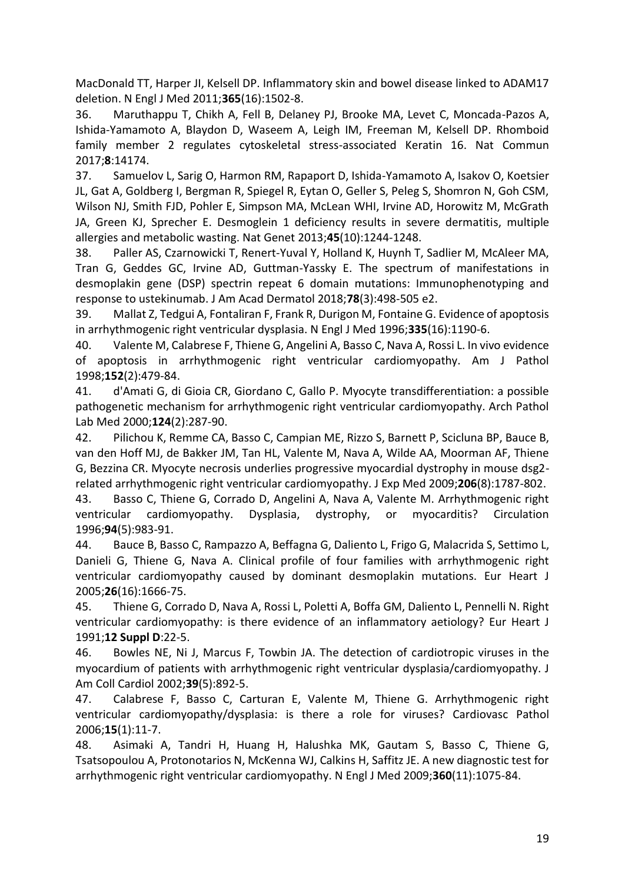MacDonald TT, Harper JI, Kelsell DP. Inflammatory skin and bowel disease linked to ADAM17 deletion. N Engl J Med 2011;**365**(16):1502-8.

36. Maruthappu T, Chikh A, Fell B, Delaney PJ, Brooke MA, Levet C, Moncada-Pazos A, Ishida-Yamamoto A, Blaydon D, Waseem A, Leigh IM, Freeman M, Kelsell DP. Rhomboid family member 2 regulates cytoskeletal stress-associated Keratin 16. Nat Commun 2017;**8**:14174.

37. Samuelov L, Sarig O, Harmon RM, Rapaport D, Ishida-Yamamoto A, Isakov O, Koetsier JL, Gat A, Goldberg I, Bergman R, Spiegel R, Eytan O, Geller S, Peleg S, Shomron N, Goh CSM, Wilson NJ, Smith FJD, Pohler E, Simpson MA, McLean WHI, Irvine AD, Horowitz M, McGrath JA, Green KJ, Sprecher E. Desmoglein 1 deficiency results in severe dermatitis, multiple allergies and metabolic wasting. Nat Genet 2013;**45**(10):1244-1248.

38. Paller AS, Czarnowicki T, Renert-Yuval Y, Holland K, Huynh T, Sadlier M, McAleer MA, Tran G, Geddes GC, Irvine AD, Guttman-Yassky E. The spectrum of manifestations in desmoplakin gene (DSP) spectrin repeat 6 domain mutations: Immunophenotyping and response to ustekinumab. J Am Acad Dermatol 2018;**78**(3):498-505 e2.

39. Mallat Z, Tedgui A, Fontaliran F, Frank R, Durigon M, Fontaine G. Evidence of apoptosis in arrhythmogenic right ventricular dysplasia. N Engl J Med 1996;**335**(16):1190-6.

40. Valente M, Calabrese F, Thiene G, Angelini A, Basso C, Nava A, Rossi L. In vivo evidence of apoptosis in arrhythmogenic right ventricular cardiomyopathy. Am J Pathol 1998;**152**(2):479-84.

41. d'Amati G, di Gioia CR, Giordano C, Gallo P. Myocyte transdifferentiation: a possible pathogenetic mechanism for arrhythmogenic right ventricular cardiomyopathy. Arch Pathol Lab Med 2000;**124**(2):287-90.

42. Pilichou K, Remme CA, Basso C, Campian ME, Rizzo S, Barnett P, Scicluna BP, Bauce B, van den Hoff MJ, de Bakker JM, Tan HL, Valente M, Nava A, Wilde AA, Moorman AF, Thiene G, Bezzina CR. Myocyte necrosis underlies progressive myocardial dystrophy in mouse dsg2 related arrhythmogenic right ventricular cardiomyopathy. J Exp Med 2009;**206**(8):1787-802.

43. Basso C, Thiene G, Corrado D, Angelini A, Nava A, Valente M. Arrhythmogenic right ventricular cardiomyopathy. Dysplasia, dystrophy, or myocarditis? Circulation 1996;**94**(5):983-91.

44. Bauce B, Basso C, Rampazzo A, Beffagna G, Daliento L, Frigo G, Malacrida S, Settimo L, Danieli G, Thiene G, Nava A. Clinical profile of four families with arrhythmogenic right ventricular cardiomyopathy caused by dominant desmoplakin mutations. Eur Heart J 2005;**26**(16):1666-75.

45. Thiene G, Corrado D, Nava A, Rossi L, Poletti A, Boffa GM, Daliento L, Pennelli N. Right ventricular cardiomyopathy: is there evidence of an inflammatory aetiology? Eur Heart J 1991;**12 Suppl D**:22-5.

46. Bowles NE, Ni J, Marcus F, Towbin JA. The detection of cardiotropic viruses in the myocardium of patients with arrhythmogenic right ventricular dysplasia/cardiomyopathy. J Am Coll Cardiol 2002;**39**(5):892-5.

47. Calabrese F, Basso C, Carturan E, Valente M, Thiene G. Arrhythmogenic right ventricular cardiomyopathy/dysplasia: is there a role for viruses? Cardiovasc Pathol 2006;**15**(1):11-7.

48. Asimaki A, Tandri H, Huang H, Halushka MK, Gautam S, Basso C, Thiene G, Tsatsopoulou A, Protonotarios N, McKenna WJ, Calkins H, Saffitz JE. A new diagnostic test for arrhythmogenic right ventricular cardiomyopathy. N Engl J Med 2009;**360**(11):1075-84.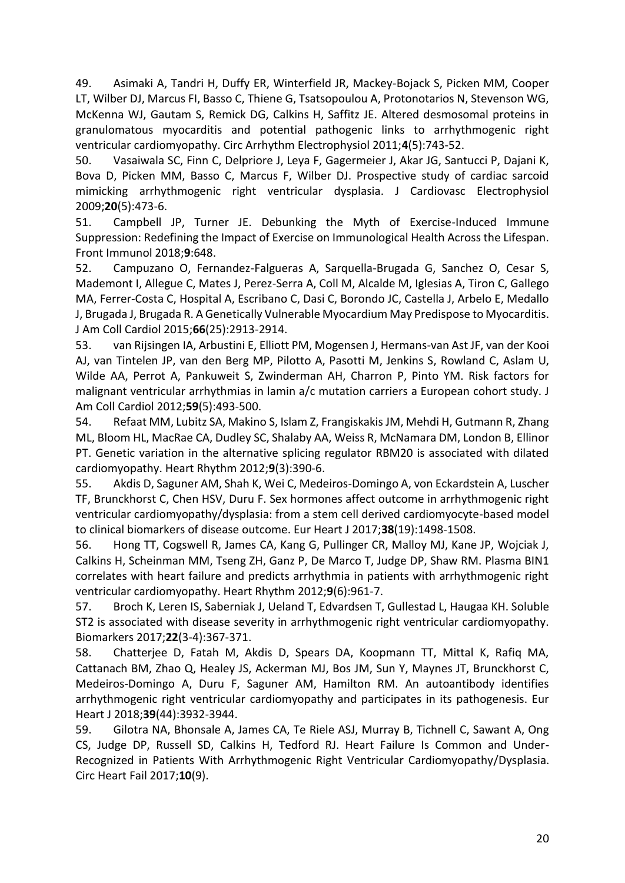49. Asimaki A, Tandri H, Duffy ER, Winterfield JR, Mackey-Bojack S, Picken MM, Cooper LT, Wilber DJ, Marcus FI, Basso C, Thiene G, Tsatsopoulou A, Protonotarios N, Stevenson WG, McKenna WJ, Gautam S, Remick DG, Calkins H, Saffitz JE. Altered desmosomal proteins in granulomatous myocarditis and potential pathogenic links to arrhythmogenic right ventricular cardiomyopathy. Circ Arrhythm Electrophysiol 2011;**4**(5):743-52.

50. Vasaiwala SC, Finn C, Delpriore J, Leya F, Gagermeier J, Akar JG, Santucci P, Dajani K, Bova D, Picken MM, Basso C, Marcus F, Wilber DJ. Prospective study of cardiac sarcoid mimicking arrhythmogenic right ventricular dysplasia. J Cardiovasc Electrophysiol 2009;**20**(5):473-6.

51. Campbell JP, Turner JE. Debunking the Myth of Exercise-Induced Immune Suppression: Redefining the Impact of Exercise on Immunological Health Across the Lifespan. Front Immunol 2018;**9**:648.

52. Campuzano O, Fernandez-Falgueras A, Sarquella-Brugada G, Sanchez O, Cesar S, Mademont I, Allegue C, Mates J, Perez-Serra A, Coll M, Alcalde M, Iglesias A, Tiron C, Gallego MA, Ferrer-Costa C, Hospital A, Escribano C, Dasi C, Borondo JC, Castella J, Arbelo E, Medallo J, Brugada J, Brugada R. A Genetically Vulnerable Myocardium May Predispose to Myocarditis. J Am Coll Cardiol 2015;**66**(25):2913-2914.

53. van Rijsingen IA, Arbustini E, Elliott PM, Mogensen J, Hermans-van Ast JF, van der Kooi AJ, van Tintelen JP, van den Berg MP, Pilotto A, Pasotti M, Jenkins S, Rowland C, Aslam U, Wilde AA, Perrot A, Pankuweit S, Zwinderman AH, Charron P, Pinto YM. Risk factors for malignant ventricular arrhythmias in lamin a/c mutation carriers a European cohort study. J Am Coll Cardiol 2012;**59**(5):493-500.

54. Refaat MM, Lubitz SA, Makino S, Islam Z, Frangiskakis JM, Mehdi H, Gutmann R, Zhang ML, Bloom HL, MacRae CA, Dudley SC, Shalaby AA, Weiss R, McNamara DM, London B, Ellinor PT. Genetic variation in the alternative splicing regulator RBM20 is associated with dilated cardiomyopathy. Heart Rhythm 2012;**9**(3):390-6.

55. Akdis D, Saguner AM, Shah K, Wei C, Medeiros-Domingo A, von Eckardstein A, Luscher TF, Brunckhorst C, Chen HSV, Duru F. Sex hormones affect outcome in arrhythmogenic right ventricular cardiomyopathy/dysplasia: from a stem cell derived cardiomyocyte-based model to clinical biomarkers of disease outcome. Eur Heart J 2017;**38**(19):1498-1508.

56. Hong TT, Cogswell R, James CA, Kang G, Pullinger CR, Malloy MJ, Kane JP, Wojciak J, Calkins H, Scheinman MM, Tseng ZH, Ganz P, De Marco T, Judge DP, Shaw RM. Plasma BIN1 correlates with heart failure and predicts arrhythmia in patients with arrhythmogenic right ventricular cardiomyopathy. Heart Rhythm 2012;**9**(6):961-7.

57. Broch K, Leren IS, Saberniak J, Ueland T, Edvardsen T, Gullestad L, Haugaa KH. Soluble ST2 is associated with disease severity in arrhythmogenic right ventricular cardiomyopathy. Biomarkers 2017;**22**(3-4):367-371.

58. Chatterjee D, Fatah M, Akdis D, Spears DA, Koopmann TT, Mittal K, Rafiq MA, Cattanach BM, Zhao Q, Healey JS, Ackerman MJ, Bos JM, Sun Y, Maynes JT, Brunckhorst C, Medeiros-Domingo A, Duru F, Saguner AM, Hamilton RM. An autoantibody identifies arrhythmogenic right ventricular cardiomyopathy and participates in its pathogenesis. Eur Heart J 2018;**39**(44):3932-3944.

59. Gilotra NA, Bhonsale A, James CA, Te Riele ASJ, Murray B, Tichnell C, Sawant A, Ong CS, Judge DP, Russell SD, Calkins H, Tedford RJ. Heart Failure Is Common and Under-Recognized in Patients With Arrhythmogenic Right Ventricular Cardiomyopathy/Dysplasia. Circ Heart Fail 2017;**10**(9).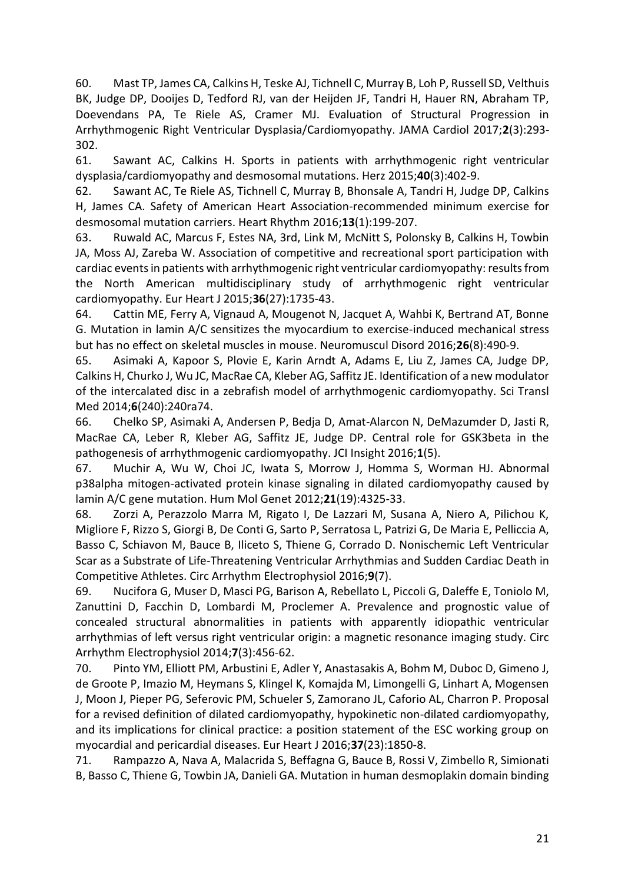60. Mast TP, James CA, Calkins H, Teske AJ, Tichnell C, Murray B, Loh P, Russell SD, Velthuis BK, Judge DP, Dooijes D, Tedford RJ, van der Heijden JF, Tandri H, Hauer RN, Abraham TP, Doevendans PA, Te Riele AS, Cramer MJ. Evaluation of Structural Progression in Arrhythmogenic Right Ventricular Dysplasia/Cardiomyopathy. JAMA Cardiol 2017;**2**(3):293- 302.

61. Sawant AC, Calkins H. Sports in patients with arrhythmogenic right ventricular dysplasia/cardiomyopathy and desmosomal mutations. Herz 2015;**40**(3):402-9.

62. Sawant AC, Te Riele AS, Tichnell C, Murray B, Bhonsale A, Tandri H, Judge DP, Calkins H, James CA. Safety of American Heart Association-recommended minimum exercise for desmosomal mutation carriers. Heart Rhythm 2016;**13**(1):199-207.

63. Ruwald AC, Marcus F, Estes NA, 3rd, Link M, McNitt S, Polonsky B, Calkins H, Towbin JA, Moss AJ, Zareba W. Association of competitive and recreational sport participation with cardiac events in patients with arrhythmogenic right ventricular cardiomyopathy: results from the North American multidisciplinary study of arrhythmogenic right ventricular cardiomyopathy. Eur Heart J 2015;**36**(27):1735-43.

64. Cattin ME, Ferry A, Vignaud A, Mougenot N, Jacquet A, Wahbi K, Bertrand AT, Bonne G. Mutation in lamin A/C sensitizes the myocardium to exercise-induced mechanical stress but has no effect on skeletal muscles in mouse. Neuromuscul Disord 2016;**26**(8):490-9.

65. Asimaki A, Kapoor S, Plovie E, Karin Arndt A, Adams E, Liu Z, James CA, Judge DP, Calkins H, Churko J, Wu JC, MacRae CA, Kleber AG, Saffitz JE. Identification of a new modulator of the intercalated disc in a zebrafish model of arrhythmogenic cardiomyopathy. Sci Transl Med 2014;**6**(240):240ra74.

66. Chelko SP, Asimaki A, Andersen P, Bedja D, Amat-Alarcon N, DeMazumder D, Jasti R, MacRae CA, Leber R, Kleber AG, Saffitz JE, Judge DP. Central role for GSK3beta in the pathogenesis of arrhythmogenic cardiomyopathy. JCI Insight 2016;**1**(5).

67. Muchir A, Wu W, Choi JC, Iwata S, Morrow J, Homma S, Worman HJ. Abnormal p38alpha mitogen-activated protein kinase signaling in dilated cardiomyopathy caused by lamin A/C gene mutation. Hum Mol Genet 2012;**21**(19):4325-33.

68. Zorzi A, Perazzolo Marra M, Rigato I, De Lazzari M, Susana A, Niero A, Pilichou K, Migliore F, Rizzo S, Giorgi B, De Conti G, Sarto P, Serratosa L, Patrizi G, De Maria E, Pelliccia A, Basso C, Schiavon M, Bauce B, Iliceto S, Thiene G, Corrado D. Nonischemic Left Ventricular Scar as a Substrate of Life-Threatening Ventricular Arrhythmias and Sudden Cardiac Death in Competitive Athletes. Circ Arrhythm Electrophysiol 2016;**9**(7).

69. Nucifora G, Muser D, Masci PG, Barison A, Rebellato L, Piccoli G, Daleffe E, Toniolo M, Zanuttini D, Facchin D, Lombardi M, Proclemer A. Prevalence and prognostic value of concealed structural abnormalities in patients with apparently idiopathic ventricular arrhythmias of left versus right ventricular origin: a magnetic resonance imaging study. Circ Arrhythm Electrophysiol 2014;**7**(3):456-62.

70. Pinto YM, Elliott PM, Arbustini E, Adler Y, Anastasakis A, Bohm M, Duboc D, Gimeno J, de Groote P, Imazio M, Heymans S, Klingel K, Komajda M, Limongelli G, Linhart A, Mogensen J, Moon J, Pieper PG, Seferovic PM, Schueler S, Zamorano JL, Caforio AL, Charron P. Proposal for a revised definition of dilated cardiomyopathy, hypokinetic non-dilated cardiomyopathy, and its implications for clinical practice: a position statement of the ESC working group on myocardial and pericardial diseases. Eur Heart J 2016;**37**(23):1850-8.

71. Rampazzo A, Nava A, Malacrida S, Beffagna G, Bauce B, Rossi V, Zimbello R, Simionati B, Basso C, Thiene G, Towbin JA, Danieli GA. Mutation in human desmoplakin domain binding